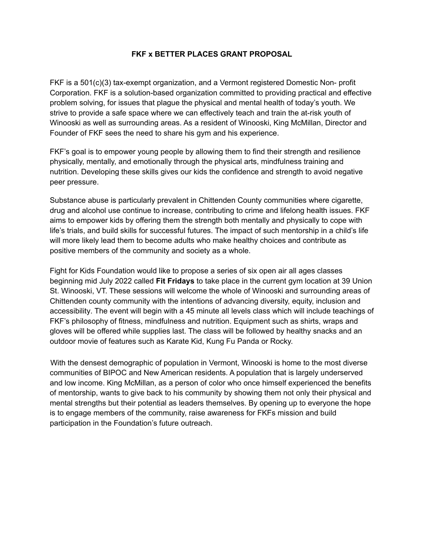## **FKF x BETTER PLACES GRANT PROPOSAL**

FKF is a 501(c)(3) tax-exempt organization, and a Vermont registered Domestic Non- profit Corporation. FKF is a solution-based organization committed to providing practical and effective problem solving, for issues that plague the physical and mental health of today's youth. We strive to provide a safe space where we can effectively teach and train the at-risk youth of Winooski as well as surrounding areas. As a resident of Winooski, King McMillan, Director and Founder of FKF sees the need to share his gym and his experience.

FKF's goal is to empower young people by allowing them to find their strength and resilience physically, mentally, and emotionally through the physical arts, mindfulness training and nutrition. Developing these skills gives our kids the confidence and strength to avoid negative peer pressure.

Substance abuse is particularly prevalent in Chittenden County communities where cigarette, drug and alcohol use continue to increase, contributing to crime and lifelong health issues. FKF aims to empower kids by offering them the strength both mentally and physically to cope with life's trials, and build skills for successful futures. The impact of such mentorship in a child's life will more likely lead them to become adults who make healthy choices and contribute as positive members of the community and society as a whole.

Fight for Kids Foundation would like to propose a series of six open air all ages classes beginning mid July 2022 called **Fit Fridays** to take place in the current gym location at 39 Union St. Winooski, VT. These sessions will welcome the whole of Winooski and surrounding areas of Chittenden county community with the intentions of advancing diversity, equity, inclusion and accessibility. The event will begin with a 45 minute all levels class which will include teachings of FKF's philosophy of fitness, mindfulness and nutrition. Equipment such as shirts, wraps and gloves will be offered while supplies last. The class will be followed by healthy snacks and an outdoor movie of features such as Karate Kid, Kung Fu Panda or Rocky.

With the densest demographic of population in Vermont, Winooski is home to the most diverse communities of BIPOC and New American residents. A population that is largely underserved and low income. King McMillan, as a person of color who once himself experienced the benefits of mentorship, wants to give back to his community by showing them not only their physical and mental strengths but their potential as leaders themselves. By opening up to everyone the hope is to engage members of the community, raise awareness for FKFs mission and build participation in the Foundation's future outreach.